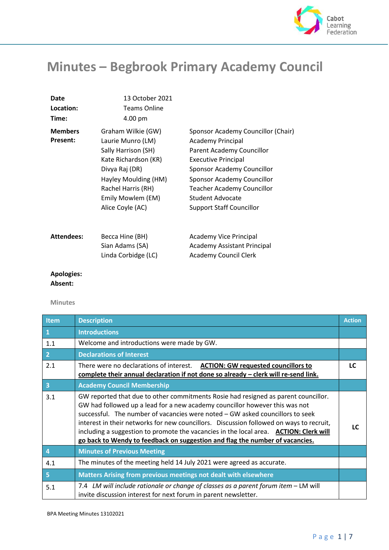

# **Minutes – Begbrook Primary Academy Council**

| Date<br>Location:<br>Time:        | 13 October 2021<br><b>Teams Online</b><br>4.00 pm                                                                                                                                               |                                                                                                                                                                                                                                                                                          |
|-----------------------------------|-------------------------------------------------------------------------------------------------------------------------------------------------------------------------------------------------|------------------------------------------------------------------------------------------------------------------------------------------------------------------------------------------------------------------------------------------------------------------------------------------|
| <b>Members</b><br><b>Present:</b> | Graham Wilkie (GW)<br>Laurie Munro (LM)<br>Sally Harrison (SH)<br>Kate Richardson (KR)<br>Divya Raj (DR)<br>Hayley Moulding (HM)<br>Rachel Harris (RH)<br>Emily Mowlem (EM)<br>Alice Coyle (AC) | Sponsor Academy Councillor (Chair)<br><b>Academy Principal</b><br>Parent Academy Councillor<br><b>Executive Principal</b><br>Sponsor Academy Councillor<br>Sponsor Academy Councillor<br><b>Teacher Academy Councillor</b><br><b>Student Advocate</b><br><b>Support Staff Councillor</b> |
| <b>Attendees:</b>                 | Becca Hine (BH)<br>Sian Adams (SA)<br>Linda Corbidge (LC)                                                                                                                                       | Academy Vice Principal<br><b>Academy Assistant Principal</b><br><b>Academy Council Clerk</b>                                                                                                                                                                                             |

## **Apologies:**

### **Absent:**

#### **Minutes**

| <b>Item</b>             | <b>Description</b>                                                                                                                                                                                                                                                                                                                                                                                                                                                                                                     | <b>Action</b> |
|-------------------------|------------------------------------------------------------------------------------------------------------------------------------------------------------------------------------------------------------------------------------------------------------------------------------------------------------------------------------------------------------------------------------------------------------------------------------------------------------------------------------------------------------------------|---------------|
| $\mathbf{1}$            | <b>Introductions</b>                                                                                                                                                                                                                                                                                                                                                                                                                                                                                                   |               |
| 1.1                     | Welcome and introductions were made by GW.                                                                                                                                                                                                                                                                                                                                                                                                                                                                             |               |
| $\overline{2}$          | <b>Declarations of Interest</b>                                                                                                                                                                                                                                                                                                                                                                                                                                                                                        |               |
| 2.1                     | There were no declarations of interest.  ACTION: GW requested councillors to<br>complete their annual declaration if not done so already - clerk will re-send link.                                                                                                                                                                                                                                                                                                                                                    | LC            |
| $\overline{\mathbf{3}}$ | <b>Academy Council Membership</b>                                                                                                                                                                                                                                                                                                                                                                                                                                                                                      |               |
| 3.1                     | GW reported that due to other commitments Rosie had resigned as parent councillor.<br>GW had followed up a lead for a new academy councillor however this was not<br>successful. The number of vacancies were noted - GW asked councillors to seek<br>interest in their networks for new councillors. Discussion followed on ways to recruit,<br>including a suggestion to promote the vacancies in the local area. ACTION: Clerk will<br>go back to Wendy to feedback on suggestion and flag the number of vacancies. | LC            |
| $\overline{4}$          | <b>Minutes of Previous Meeting</b>                                                                                                                                                                                                                                                                                                                                                                                                                                                                                     |               |
| 4.1                     | The minutes of the meeting held 14 July 2021 were agreed as accurate.                                                                                                                                                                                                                                                                                                                                                                                                                                                  |               |
| 5                       | Matters Arising from previous meetings not dealt with elsewhere                                                                                                                                                                                                                                                                                                                                                                                                                                                        |               |
| 5.1                     | 7.4 LM will include rationale or change of classes as a parent forum item – LM will<br>invite discussion interest for next forum in parent newsletter.                                                                                                                                                                                                                                                                                                                                                                 |               |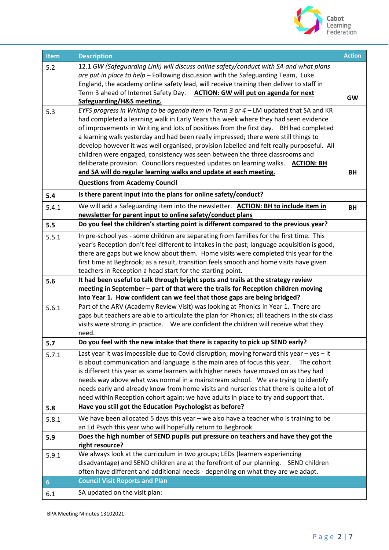

| <b>Item</b>    | <b>Description</b>                                                                                                                                                           | <b>Action</b> |
|----------------|------------------------------------------------------------------------------------------------------------------------------------------------------------------------------|---------------|
| 5.2            | 12.1 GW (Safeguarding Link) will discuss online safety/conduct with SA and what plans                                                                                        |               |
|                | are put in place to help - Following discussion with the Safeguarding Team, Luke                                                                                             |               |
|                | England, the academy online safety lead, will receive training then deliver to staff in                                                                                      |               |
|                | Term 3 ahead of Internet Safety Day. ACTION: GW will put on agenda for next                                                                                                  | <b>GW</b>     |
|                | Safeguarding/H&S meeting.                                                                                                                                                    |               |
| 5.3            | EYFS progress in Writing to be agenda item in Term 3 or $4$ – LM updated that SA and KR                                                                                      |               |
|                | had completed a learning walk in Early Years this week where they had seen evidence                                                                                          |               |
|                | of improvements in Writing and lots of positives from the first day. BH had completed<br>a learning walk yesterday and had been really impressed; there were still things to |               |
|                | develop however it was well organised, provision labelled and felt really purposeful. All                                                                                    |               |
|                | children were engaged, consistency was seen between the three classrooms and                                                                                                 |               |
|                | deliberate provision. Councillors requested updates on learning walks. ACTION: BH                                                                                            |               |
|                | and SA will do regular learning walks and update at each meeting.                                                                                                            | ΒH            |
|                | <b>Questions from Academy Council</b>                                                                                                                                        |               |
| 5.4            | Is there parent input into the plans for online safety/conduct?                                                                                                              |               |
| 5.4.1          | We will add a Safeguarding item into the newsletter. ACTION: BH to include item in                                                                                           | BH            |
|                | newsletter for parent input to online safety/conduct plans                                                                                                                   |               |
| 5.5            | Do you feel the children's starting point is different compared to the previous year?                                                                                        |               |
| 5.5.1          | In pre-school yes - some children are separating from families for the first time. This                                                                                      |               |
|                | year's Reception don't feel different to intakes in the past; language acquisition is good,                                                                                  |               |
|                | there are gaps but we know about them. Home visits were completed this year for the                                                                                          |               |
|                | first time at Begbrook; as a result, transition feels smooth and home visits have given                                                                                      |               |
|                | teachers in Reception a head start for the starting point.                                                                                                                   |               |
| 5.6            | It had been useful to talk through bright spots and trails at the strategy review                                                                                            |               |
|                | meeting in September - part of that were the trails for Reception children moving<br>into Year 1. How confident can we feel that those gaps are being bridged?               |               |
|                | Part of the ARV (Academy Review Visit) was looking at Phonics in Year 1. There are                                                                                           |               |
| 5.6.1          | gaps but teachers are able to articulate the plan for Phonics; all teachers in the six class                                                                                 |               |
|                | visits were strong in practice.  We are confident the children will receive what they                                                                                        |               |
|                | need.                                                                                                                                                                        |               |
| 5.7            | Do you feel with the new intake that there is capacity to pick up SEND early?                                                                                                |               |
| 5.7.1          | Last year it was impossible due to Covid disruption; moving forward this year - yes - it                                                                                     |               |
|                | is about communication and language is the main area of focus this year.<br>The cohort                                                                                       |               |
|                | is different this year as some learners with higher needs have moved on as they had                                                                                          |               |
|                | needs way above what was normal in a mainstream school. We are trying to identify                                                                                            |               |
|                | needs early and already know from home visits and nurseries that there is quite a lot of                                                                                     |               |
|                | need within Reception cohort again; we have adults in place to try and support that.                                                                                         |               |
| 5.8            | Have you still got the Education Psychologist as before?                                                                                                                     |               |
| 5.8.1          | We have been allocated 5 days this year – we also have a teacher who is training to be<br>an Ed Psych this year who will hopefully return to Begbrook.                       |               |
| 5.9            | Does the high number of SEND pupils put pressure on teachers and have they got the                                                                                           |               |
|                | right resource?                                                                                                                                                              |               |
| 5.9.1          | We always look at the curriculum in two groups; LEDs (learners experiencing                                                                                                  |               |
|                | disadvantage) and SEND children are at the forefront of our planning.  SEND children                                                                                         |               |
|                | often have different and additional needs - depending on what they are we adapt.                                                                                             |               |
| $6\phantom{1}$ | <b>Council Visit Reports and Plan</b>                                                                                                                                        |               |
| 6.1            | SA updated on the visit plan:                                                                                                                                                |               |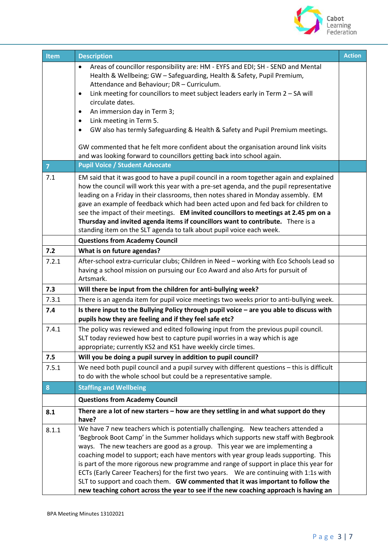

| <b>Item</b>    | <b>Description</b>                                                                                                                                                                                                                                                                                                                                                                                                                                                                                                                                                                                                                                                                                           | <b>Action</b> |
|----------------|--------------------------------------------------------------------------------------------------------------------------------------------------------------------------------------------------------------------------------------------------------------------------------------------------------------------------------------------------------------------------------------------------------------------------------------------------------------------------------------------------------------------------------------------------------------------------------------------------------------------------------------------------------------------------------------------------------------|---------------|
|                | Areas of councillor responsibility are: HM - EYFS and EDI; SH - SEND and Mental<br>$\bullet$<br>Health & Wellbeing; GW - Safeguarding, Health & Safety, Pupil Premium,<br>Attendance and Behaviour; DR - Curriculum.<br>Link meeting for councillors to meet subject leaders early in Term 2 - SA will<br>$\bullet$<br>circulate dates.<br>An immersion day in Term 3;<br>٠<br>Link meeting in Term 5.<br>GW also has termly Safeguarding & Health & Safety and Pupil Premium meetings.<br>GW commented that he felt more confident about the organisation around link visits<br>and was looking forward to councillors getting back into school again.<br><b>Pupil Voice / Student Advocate</b>             |               |
| $\overline{7}$ |                                                                                                                                                                                                                                                                                                                                                                                                                                                                                                                                                                                                                                                                                                              |               |
| 7.1            | EM said that it was good to have a pupil council in a room together again and explained<br>how the council will work this year with a pre-set agenda, and the pupil representative<br>leading on a Friday in their classrooms, then notes shared in Monday assembly. EM<br>gave an example of feedback which had been acted upon and fed back for children to<br>see the impact of their meetings. EM invited councillors to meetings at 2.45 pm on a<br>Thursday and invited agenda items if councillors want to contribute. There is a<br>standing item on the SLT agenda to talk about pupil voice each week.                                                                                             |               |
|                | <b>Questions from Academy Council</b>                                                                                                                                                                                                                                                                                                                                                                                                                                                                                                                                                                                                                                                                        |               |
| 7.2            | What is on future agendas?                                                                                                                                                                                                                                                                                                                                                                                                                                                                                                                                                                                                                                                                                   |               |
| 7.2.1          | After-school extra-curricular clubs; Children in Need - working with Eco Schools Lead so<br>having a school mission on pursuing our Eco Award and also Arts for pursuit of<br>Artsmark.                                                                                                                                                                                                                                                                                                                                                                                                                                                                                                                      |               |
| 7.3            | Will there be input from the children for anti-bullying week?                                                                                                                                                                                                                                                                                                                                                                                                                                                                                                                                                                                                                                                |               |
| 7.3.1          | There is an agenda item for pupil voice meetings two weeks prior to anti-bullying week.                                                                                                                                                                                                                                                                                                                                                                                                                                                                                                                                                                                                                      |               |
| 7.4            | Is there input to the Bullying Policy through pupil voice - are you able to discuss with<br>pupils how they are feeling and if they feel safe etc?                                                                                                                                                                                                                                                                                                                                                                                                                                                                                                                                                           |               |
| 7.4.1          | The policy was reviewed and edited following input from the previous pupil council.<br>SLT today reviewed how best to capture pupil worries in a way which is age<br>appropriate; currently KS2 and KS1 have weekly circle times.                                                                                                                                                                                                                                                                                                                                                                                                                                                                            |               |
| 7.5            | Will you be doing a pupil survey in addition to pupil council?                                                                                                                                                                                                                                                                                                                                                                                                                                                                                                                                                                                                                                               |               |
| 7.5.1          | We need both pupil council and a pupil survey with different questions - this is difficult<br>to do with the whole school but could be a representative sample.                                                                                                                                                                                                                                                                                                                                                                                                                                                                                                                                              |               |
| 8              | <b>Staffing and Wellbeing</b>                                                                                                                                                                                                                                                                                                                                                                                                                                                                                                                                                                                                                                                                                |               |
|                | <b>Questions from Academy Council</b>                                                                                                                                                                                                                                                                                                                                                                                                                                                                                                                                                                                                                                                                        |               |
| 8.1            | There are a lot of new starters - how are they settling in and what support do they<br>have?                                                                                                                                                                                                                                                                                                                                                                                                                                                                                                                                                                                                                 |               |
| 8.1.1          | We have 7 new teachers which is potentially challenging. New teachers attended a<br>'Begbrook Boot Camp' in the Summer holidays which supports new staff with Begbrook<br>ways. The new teachers are good as a group. This year we are implementing a<br>coaching model to support; each have mentors with year group leads supporting. This<br>is part of the more rigorous new programme and range of support in place this year for<br>ECTs (Early Career Teachers) for the first two years.  We are continuing with 1:1s with<br>SLT to support and coach them. GW commented that it was important to follow the<br>new teaching cohort across the year to see if the new coaching approach is having an |               |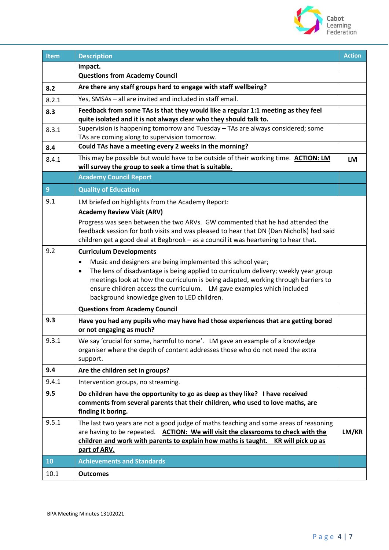

| <b>Item</b>    | <b>Description</b>                                                                                                                                                                                                                                                                                                                                                            | <b>Action</b> |
|----------------|-------------------------------------------------------------------------------------------------------------------------------------------------------------------------------------------------------------------------------------------------------------------------------------------------------------------------------------------------------------------------------|---------------|
|                | impact.                                                                                                                                                                                                                                                                                                                                                                       |               |
|                | <b>Questions from Academy Council</b>                                                                                                                                                                                                                                                                                                                                         |               |
| 8.2            | Are there any staff groups hard to engage with staff wellbeing?                                                                                                                                                                                                                                                                                                               |               |
| 8.2.1          | Yes, SMSAs - all are invited and included in staff email.                                                                                                                                                                                                                                                                                                                     |               |
| 8.3            | Feedback from some TAs is that they would like a regular 1:1 meeting as they feel<br>quite isolated and it is not always clear who they should talk to.                                                                                                                                                                                                                       |               |
| 8.3.1          | Supervision is happening tomorrow and Tuesday - TAs are always considered; some<br>TAs are coming along to supervision tomorrow.                                                                                                                                                                                                                                              |               |
| 8.4            | Could TAs have a meeting every 2 weeks in the morning?                                                                                                                                                                                                                                                                                                                        |               |
| 8.4.1          | This may be possible but would have to be outside of their working time. ACTION: LM<br>will survey the group to seek a time that is suitable.                                                                                                                                                                                                                                 | LM            |
|                | <b>Academy Council Report</b>                                                                                                                                                                                                                                                                                                                                                 |               |
| $\overline{9}$ | <b>Quality of Education</b>                                                                                                                                                                                                                                                                                                                                                   |               |
| 9.1            | LM briefed on highlights from the Academy Report:                                                                                                                                                                                                                                                                                                                             |               |
|                | <b>Academy Review Visit (ARV)</b>                                                                                                                                                                                                                                                                                                                                             |               |
|                | Progress was seen between the two ARVs. GW commented that he had attended the<br>feedback session for both visits and was pleased to hear that DN (Dan Nicholls) had said<br>children get a good deal at Begbrook - as a council it was heartening to hear that.                                                                                                              |               |
| 9.2            | <b>Curriculum Developments</b>                                                                                                                                                                                                                                                                                                                                                |               |
|                | Music and designers are being implemented this school year;<br>$\bullet$<br>The lens of disadvantage is being applied to curriculum delivery; weekly year group<br>meetings look at how the curriculum is being adapted, working through barriers to<br>ensure children access the curriculum. LM gave examples which included<br>background knowledge given to LED children. |               |
|                | <b>Questions from Academy Council</b>                                                                                                                                                                                                                                                                                                                                         |               |
| 9.3            | Have you had any pupils who may have had those experiences that are getting bored<br>or not engaging as much?                                                                                                                                                                                                                                                                 |               |
| 9.3.1          | We say 'crucial for some, harmful to none'. LM gave an example of a knowledge<br>organiser where the depth of content addresses those who do not need the extra<br>support.                                                                                                                                                                                                   |               |
| 9.4            | Are the children set in groups?                                                                                                                                                                                                                                                                                                                                               |               |
| 9.4.1          | Intervention groups, no streaming.                                                                                                                                                                                                                                                                                                                                            |               |
| 9.5            | Do children have the opportunity to go as deep as they like? I have received<br>comments from several parents that their children, who used to love maths, are<br>finding it boring.                                                                                                                                                                                          |               |
| 9.5.1          | The last two years are not a good judge of maths teaching and some areas of reasoning<br>are having to be repeated. ACTION: We will visit the classrooms to check with the<br>children and work with parents to explain how maths is taught. KR will pick up as<br>part of ARV.                                                                                               | LM/KR         |
| 10             | <b>Achievements and Standards</b>                                                                                                                                                                                                                                                                                                                                             |               |
| 10.1           | <b>Outcomes</b>                                                                                                                                                                                                                                                                                                                                                               |               |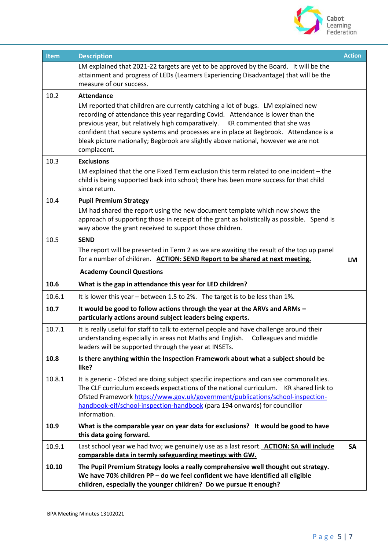

| Item   | <b>Description</b>                                                                                                                                                                                                                                                                                                                                                                                                                               | <b>Action</b> |
|--------|--------------------------------------------------------------------------------------------------------------------------------------------------------------------------------------------------------------------------------------------------------------------------------------------------------------------------------------------------------------------------------------------------------------------------------------------------|---------------|
|        | LM explained that 2021-22 targets are yet to be approved by the Board. It will be the<br>attainment and progress of LEDs (Learners Experiencing Disadvantage) that will be the<br>measure of our success.                                                                                                                                                                                                                                        |               |
| 10.2   | <b>Attendance</b>                                                                                                                                                                                                                                                                                                                                                                                                                                |               |
|        | LM reported that children are currently catching a lot of bugs. LM explained new<br>recording of attendance this year regarding Covid. Attendance is lower than the<br>previous year, but relatively high comparatively. KR commented that she was<br>confident that secure systems and processes are in place at Begbrook. Attendance is a<br>bleak picture nationally; Begbrook are slightly above national, however we are not<br>complacent. |               |
| 10.3   | <b>Exclusions</b>                                                                                                                                                                                                                                                                                                                                                                                                                                |               |
|        | LM explained that the one Fixed Term exclusion this term related to one incident - the<br>child is being supported back into school; there has been more success for that child<br>since return.                                                                                                                                                                                                                                                 |               |
| 10.4   | <b>Pupil Premium Strategy</b>                                                                                                                                                                                                                                                                                                                                                                                                                    |               |
|        | LM had shared the report using the new document template which now shows the<br>approach of supporting those in receipt of the grant as holistically as possible. Spend is<br>way above the grant received to support those children.                                                                                                                                                                                                            |               |
| 10.5   | <b>SEND</b>                                                                                                                                                                                                                                                                                                                                                                                                                                      |               |
|        | The report will be presented in Term 2 as we are awaiting the result of the top up panel<br>for a number of children. ACTION: SEND Report to be shared at next meeting.                                                                                                                                                                                                                                                                          | <b>LM</b>     |
|        | <b>Academy Council Questions</b>                                                                                                                                                                                                                                                                                                                                                                                                                 |               |
| 10.6   | What is the gap in attendance this year for LED children?                                                                                                                                                                                                                                                                                                                                                                                        |               |
| 10.6.1 | It is lower this year - between 1.5 to 2%. The target is to be less than 1%.                                                                                                                                                                                                                                                                                                                                                                     |               |
| 10.7   | It would be good to follow actions through the year at the ARVs and ARMs -<br>particularly actions around subject leaders being experts.                                                                                                                                                                                                                                                                                                         |               |
| 10.7.1 | It is really useful for staff to talk to external people and have challenge around their<br>understanding especially in areas not Maths and English.<br>Colleagues and middle<br>leaders will be supported through the year at INSETs.                                                                                                                                                                                                           |               |
| 10.8   | Is there anything within the Inspection Framework about what a subject should be<br>like?                                                                                                                                                                                                                                                                                                                                                        |               |
| 10.8.1 | It is generic - Ofsted are doing subject specific inspections and can see commonalities.<br>The CLF curriculum exceeds expectations of the national curriculum. KR shared link to<br>Ofsted Framework https://www.gov.uk/government/publications/school-inspection-<br>handbook-eif/school-inspection-handbook (para 194 onwards) for councillor<br>information.                                                                                 |               |
| 10.9   | What is the comparable year on year data for exclusions? It would be good to have<br>this data going forward.                                                                                                                                                                                                                                                                                                                                    |               |
| 10.9.1 | Last school year we had two; we genuinely use as a last resort. <b>ACTION: SA will include</b><br>comparable data in termly safeguarding meetings with GW.                                                                                                                                                                                                                                                                                       | <b>SA</b>     |
| 10.10  | The Pupil Premium Strategy looks a really comprehensive well thought out strategy.<br>We have 70% children PP - do we feel confident we have identified all eligible<br>children, especially the younger children? Do we pursue it enough?                                                                                                                                                                                                       |               |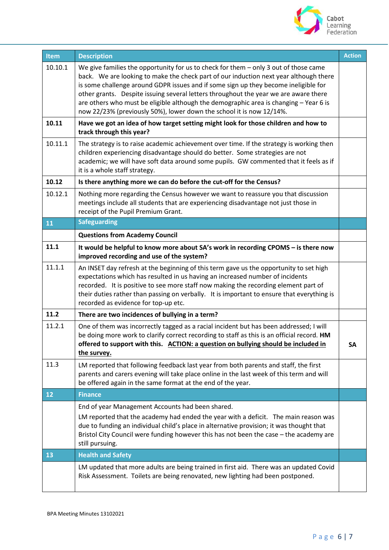

| Item    | <b>Description</b>                                                                                                                                                                                                                                                                                                                                                                                                                                                                                                              | <b>Action</b> |
|---------|---------------------------------------------------------------------------------------------------------------------------------------------------------------------------------------------------------------------------------------------------------------------------------------------------------------------------------------------------------------------------------------------------------------------------------------------------------------------------------------------------------------------------------|---------------|
| 10.10.1 | We give families the opportunity for us to check for them $-$ only 3 out of those came<br>back. We are looking to make the check part of our induction next year although there<br>is some challenge around GDPR issues and if some sign up they become ineligible for<br>other grants. Despite issuing several letters throughout the year we are aware there<br>are others who must be eligible although the demographic area is changing - Year 6 is<br>now 22/23% (previously 50%), lower down the school it is now 12/14%. |               |
| 10.11   | Have we got an idea of how target setting might look for those children and how to<br>track through this year?                                                                                                                                                                                                                                                                                                                                                                                                                  |               |
| 10.11.1 | The strategy is to raise academic achievement over time. If the strategy is working then<br>children experiencing disadvantage should do better. Some strategies are not<br>academic; we will have soft data around some pupils. GW commented that it feels as if<br>it is a whole staff strategy.                                                                                                                                                                                                                              |               |
| 10.12   | Is there anything more we can do before the cut-off for the Census?                                                                                                                                                                                                                                                                                                                                                                                                                                                             |               |
| 10.12.1 | Nothing more regarding the Census however we want to reassure you that discussion<br>meetings include all students that are experiencing disadvantage not just those in<br>receipt of the Pupil Premium Grant.                                                                                                                                                                                                                                                                                                                  |               |
| 11      | <b>Safeguarding</b>                                                                                                                                                                                                                                                                                                                                                                                                                                                                                                             |               |
|         | <b>Questions from Academy Council</b>                                                                                                                                                                                                                                                                                                                                                                                                                                                                                           |               |
| 11.1    | It would be helpful to know more about SA's work in recording CPOMS - is there now<br>improved recording and use of the system?                                                                                                                                                                                                                                                                                                                                                                                                 |               |
| 11.1.1  | An INSET day refresh at the beginning of this term gave us the opportunity to set high<br>expectations which has resulted in us having an increased number of incidents<br>recorded. It is positive to see more staff now making the recording element part of<br>their duties rather than passing on verbally. It is important to ensure that everything is<br>recorded as evidence for top-up etc.                                                                                                                            |               |
| 11.2    | There are two incidences of bullying in a term?                                                                                                                                                                                                                                                                                                                                                                                                                                                                                 |               |
| 11.2.1  | One of them was incorrectly tagged as a racial incident but has been addressed; I will<br>be doing more work to clarify correct recording to staff as this is an official record. HM<br>offered to support with this. ACTION: a question on bullying should be included in<br>the survey.                                                                                                                                                                                                                                       | <b>SA</b>     |
| 11.3    | LM reported that following feedback last year from both parents and staff, the first<br>parents and carers evening will take place online in the last week of this term and will<br>be offered again in the same format at the end of the year.                                                                                                                                                                                                                                                                                 |               |
| 12      | <b>Finance</b>                                                                                                                                                                                                                                                                                                                                                                                                                                                                                                                  |               |
|         | End of year Management Accounts had been shared.<br>LM reported that the academy had ended the year with a deficit. The main reason was<br>due to funding an individual child's place in alternative provision; it was thought that<br>Bristol City Council were funding however this has not been the case - the academy are<br>still pursuing.                                                                                                                                                                                |               |
| 13      | <b>Health and Safety</b>                                                                                                                                                                                                                                                                                                                                                                                                                                                                                                        |               |
|         | LM updated that more adults are being trained in first aid. There was an updated Covid<br>Risk Assessment. Toilets are being renovated, new lighting had been postponed.                                                                                                                                                                                                                                                                                                                                                        |               |